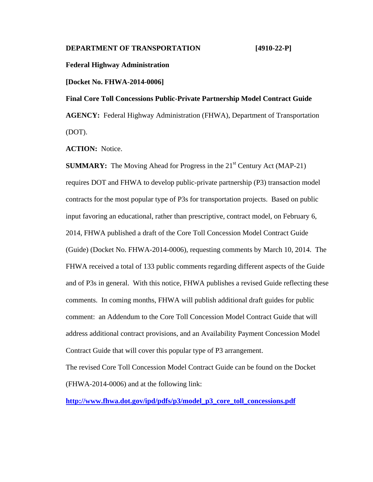## **DEPARTMENT OF TRANSPORTATION [4910-22-P]**

**Federal Highway Administration**

**[Docket No. FHWA-2014-0006]**

**Final Core Toll Concessions Public-Private Partnership Model Contract Guide AGENCY:** Federal Highway Administration (FHWA), Department of Transportation (DOT).

**ACTION:** Notice.

**SUMMARY:** The Moving Ahead for Progress in the  $21<sup>st</sup>$  Century Act (MAP-21) requires DOT and FHWA to develop public-private partnership (P3) transaction model contracts for the most popular type of P3s for transportation projects. Based on public input favoring an educational, rather than prescriptive, contract model, on February 6, 2014, FHWA published a draft of the Core Toll Concession Model Contract Guide (Guide) (Docket No. FHWA-2014-0006), requesting comments by March 10, 2014. The FHWA received a total of 133 public comments regarding different aspects of the Guide and of P3s in general. With this notice, FHWA publishes a revised Guide reflecting these comments. In coming months, FHWA will publish additional draft guides for public comment: an Addendum to the Core Toll Concession Model Contract Guide that will address additional contract provisions, and an Availability Payment Concession Model Contract Guide that will cover this popular type of P3 arrangement.

The revised Core Toll Concession Model Contract Guide can be found on the Docket (FHWA-2014-0006) and at the following link:

**[http://www.fhwa.dot.gov/ipd/pdfs/p3/model\\_p3\\_core\\_toll\\_concessions.pdf](http://www.fhwa.dot.gov/ipd/pdfs/p3/model_p3_core_toll_concessions.pdf)**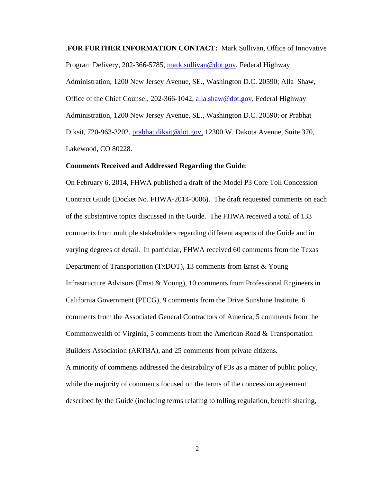.**FOR FURTHER INFORMATION CONTACT:** Mark Sullivan, Office of Innovative Program Delivery, 202-366-5785, [mark.sullivan@dot.gov,](mailto:mark.sullivan@dot.gov) Federal Highway Administration, 1200 New Jersey Avenue, SE., Washington D.C. 20590; Alla Shaw, Office of the Chief Counsel, 202-366-1042, [alla.shaw@dot.gov,](mailto:alla.shaw@dot.gov) Federal Highway Administration, 1200 New Jersey Avenue, SE., Washington D.C. 20590; or Prabhat Diksit, 720-963-3202, *prabhat.diksit@dot.gov*, 12300 W. Dakota Avenue, Suite 370, Lakewood, CO 80228.

#### **Comments Received and Addressed Regarding the Guide**:

On February 6, 2014, FHWA published a draft of the Model P3 Core Toll Concession Contract Guide (Docket No. FHWA-2014-0006). The draft requested comments on each of the substantive topics discussed in the Guide. The FHWA received a total of 133 comments from multiple stakeholders regarding different aspects of the Guide and in varying degrees of detail. In particular, FHWA received 60 comments from the Texas Department of Transportation (TxDOT), 13 comments from Ernst & Young Infrastructure Advisors (Ernst & Young), 10 comments from Professional Engineers in California Government (PECG), 9 comments from the Drive Sunshine Institute, 6 comments from the Associated General Contractors of America, 5 comments from the Commonwealth of Virginia, 5 comments from the American Road & Transportation Builders Association (ARTBA), and 25 comments from private citizens. A minority of comments addressed the desirability of P3s as a matter of public policy, while the majority of comments focused on the terms of the concession agreement described by the Guide (including terms relating to tolling regulation, benefit sharing,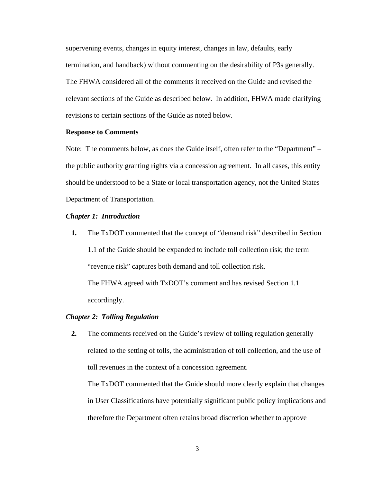supervening events, changes in equity interest, changes in law, defaults, early termination, and handback) without commenting on the desirability of P3s generally. The FHWA considered all of the comments it received on the Guide and revised the relevant sections of the Guide as described below. In addition, FHWA made clarifying revisions to certain sections of the Guide as noted below.

## **Response to Comments**

Note: The comments below, as does the Guide itself, often refer to the "Department" – the public authority granting rights via a concession agreement. In all cases, this entity should be understood to be a State or local transportation agency, not the United States Department of Transportation.

## *Chapter 1: Introduction*

**1.** The TxDOT commented that the concept of "demand risk" described in Section 1.1 of the Guide should be expanded to include toll collection risk; the term "revenue risk" captures both demand and toll collection risk.

The FHWA agreed with TxDOT's comment and has revised Section 1.1 accordingly.

#### *Chapter 2: Tolling Regulation*

**2.** The comments received on the Guide's review of tolling regulation generally related to the setting of tolls, the administration of toll collection, and the use of toll revenues in the context of a concession agreement.

The TxDOT commented that the Guide should more clearly explain that changes in User Classifications have potentially significant public policy implications and therefore the Department often retains broad discretion whether to approve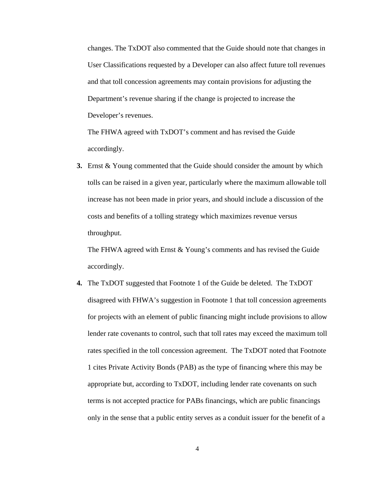changes. The TxDOT also commented that the Guide should note that changes in User Classifications requested by a Developer can also affect future toll revenues and that toll concession agreements may contain provisions for adjusting the Department's revenue sharing if the change is projected to increase the Developer's revenues.

The FHWA agreed with TxDOT's comment and has revised the Guide accordingly.

**3.** Ernst & Young commented that the Guide should consider the amount by which tolls can be raised in a given year, particularly where the maximum allowable toll increase has not been made in prior years, and should include a discussion of the costs and benefits of a tolling strategy which maximizes revenue versus throughput.

The FHWA agreed with Ernst & Young's comments and has revised the Guide accordingly.

**4.** The TxDOT suggested that Footnote 1 of the Guide be deleted. The TxDOT disagreed with FHWA's suggestion in Footnote 1 that toll concession agreements for projects with an element of public financing might include provisions to allow lender rate covenants to control, such that toll rates may exceed the maximum toll rates specified in the toll concession agreement. The TxDOT noted that Footnote 1 cites Private Activity Bonds (PAB) as the type of financing where this may be appropriate but, according to TxDOT, including lender rate covenants on such terms is not accepted practice for PABs financings, which are public financings only in the sense that a public entity serves as a conduit issuer for the benefit of a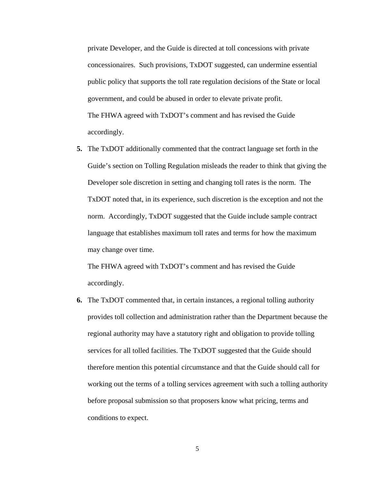private Developer, and the Guide is directed at toll concessions with private concessionaires. Such provisions, TxDOT suggested, can undermine essential public policy that supports the toll rate regulation decisions of the State or local government, and could be abused in order to elevate private profit. The FHWA agreed with TxDOT's comment and has revised the Guide accordingly.

**5.** The TxDOT additionally commented that the contract language set forth in the Guide's section on Tolling Regulation misleads the reader to think that giving the Developer sole discretion in setting and changing toll rates is the norm. The TxDOT noted that, in its experience, such discretion is the exception and not the norm. Accordingly, TxDOT suggested that the Guide include sample contract language that establishes maximum toll rates and terms for how the maximum may change over time.

The FHWA agreed with TxDOT's comment and has revised the Guide accordingly.

**6.** The TxDOT commented that, in certain instances, a regional tolling authority provides toll collection and administration rather than the Department because the regional authority may have a statutory right and obligation to provide tolling services for all tolled facilities. The TxDOT suggested that the Guide should therefore mention this potential circumstance and that the Guide should call for working out the terms of a tolling services agreement with such a tolling authority before proposal submission so that proposers know what pricing, terms and conditions to expect.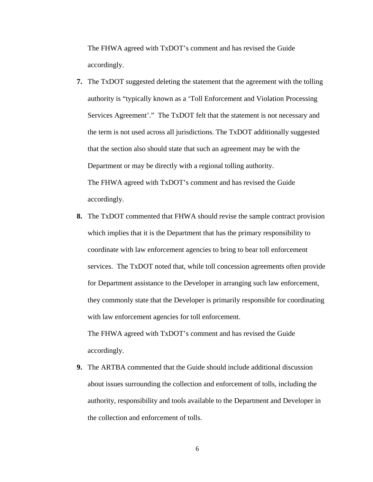The FHWA agreed with TxDOT's comment and has revised the Guide accordingly.

- **7.** The TxDOT suggested deleting the statement that the agreement with the tolling authority is "typically known as a 'Toll Enforcement and Violation Processing Services Agreement'." The TxDOT felt that the statement is not necessary and the term is not used across all jurisdictions. The TxDOT additionally suggested that the section also should state that such an agreement may be with the Department or may be directly with a regional tolling authority. The FHWA agreed with TxDOT's comment and has revised the Guide accordingly.
- **8.** The TxDOT commented that FHWA should revise the sample contract provision which implies that it is the Department that has the primary responsibility to coordinate with law enforcement agencies to bring to bear toll enforcement services. The TxDOT noted that, while toll concession agreements often provide for Department assistance to the Developer in arranging such law enforcement, they commonly state that the Developer is primarily responsible for coordinating with law enforcement agencies for toll enforcement. The FHWA agreed with TxDOT's comment and has revised the Guide

accordingly.

**9.** The ARTBA commented that the Guide should include additional discussion about issues surrounding the collection and enforcement of tolls, including the authority, responsibility and tools available to the Department and Developer in the collection and enforcement of tolls.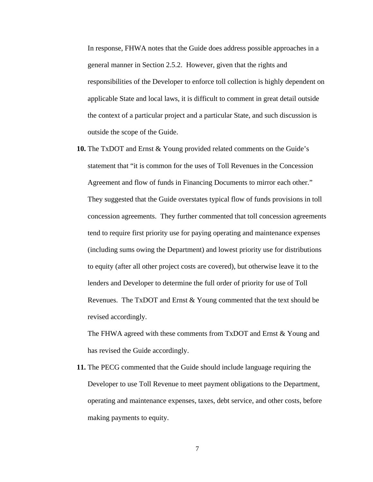In response, FHWA notes that the Guide does address possible approaches in a general manner in Section 2.5.2. However, given that the rights and responsibilities of the Developer to enforce toll collection is highly dependent on applicable State and local laws, it is difficult to comment in great detail outside the context of a particular project and a particular State, and such discussion is outside the scope of the Guide.

**10.** The TxDOT and Ernst & Young provided related comments on the Guide's statement that "it is common for the uses of Toll Revenues in the Concession Agreement and flow of funds in Financing Documents to mirror each other." They suggested that the Guide overstates typical flow of funds provisions in toll concession agreements. They further commented that toll concession agreements tend to require first priority use for paying operating and maintenance expenses (including sums owing the Department) and lowest priority use for distributions to equity (after all other project costs are covered), but otherwise leave it to the lenders and Developer to determine the full order of priority for use of Toll Revenues. The TxDOT and Ernst & Young commented that the text should be revised accordingly.

The FHWA agreed with these comments from TxDOT and Ernst & Young and has revised the Guide accordingly.

**11.** The PECG commented that the Guide should include language requiring the Developer to use Toll Revenue to meet payment obligations to the Department, operating and maintenance expenses, taxes, debt service, and other costs, before making payments to equity.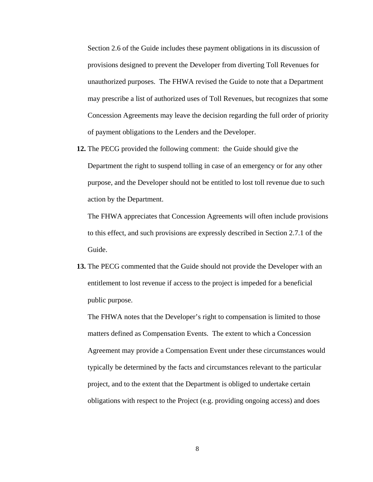Section 2.6 of the Guide includes these payment obligations in its discussion of provisions designed to prevent the Developer from diverting Toll Revenues for unauthorized purposes. The FHWA revised the Guide to note that a Department may prescribe a list of authorized uses of Toll Revenues, but recognizes that some Concession Agreements may leave the decision regarding the full order of priority of payment obligations to the Lenders and the Developer.

**12.** The PECG provided the following comment: the Guide should give the Department the right to suspend tolling in case of an emergency or for any other purpose, and the Developer should not be entitled to lost toll revenue due to such action by the Department.

The FHWA appreciates that Concession Agreements will often include provisions to this effect, and such provisions are expressly described in Section 2.7.1 of the Guide.

**13.** The PECG commented that the Guide should not provide the Developer with an entitlement to lost revenue if access to the project is impeded for a beneficial public purpose.

The FHWA notes that the Developer's right to compensation is limited to those matters defined as Compensation Events. The extent to which a Concession Agreement may provide a Compensation Event under these circumstances would typically be determined by the facts and circumstances relevant to the particular project, and to the extent that the Department is obliged to undertake certain obligations with respect to the Project (e.g. providing ongoing access) and does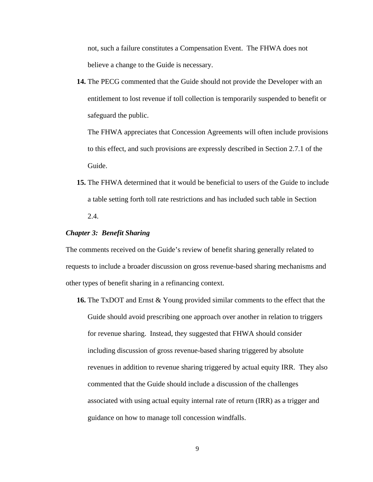not, such a failure constitutes a Compensation Event. The FHWA does not believe a change to the Guide is necessary.

**14.** The PECG commented that the Guide should not provide the Developer with an entitlement to lost revenue if toll collection is temporarily suspended to benefit or safeguard the public.

The FHWA appreciates that Concession Agreements will often include provisions to this effect, and such provisions are expressly described in Section 2.7.1 of the Guide.

**15.** The FHWA determined that it would be beneficial to users of the Guide to include a table setting forth toll rate restrictions and has included such table in Section 2.4.

## *Chapter 3: Benefit Sharing*

The comments received on the Guide's review of benefit sharing generally related to requests to include a broader discussion on gross revenue-based sharing mechanisms and other types of benefit sharing in a refinancing context.

**16.** The TxDOT and Ernst & Young provided similar comments to the effect that the Guide should avoid prescribing one approach over another in relation to triggers for revenue sharing. Instead, they suggested that FHWA should consider including discussion of gross revenue-based sharing triggered by absolute revenues in addition to revenue sharing triggered by actual equity IRR. They also commented that the Guide should include a discussion of the challenges associated with using actual equity internal rate of return (IRR) as a trigger and guidance on how to manage toll concession windfalls.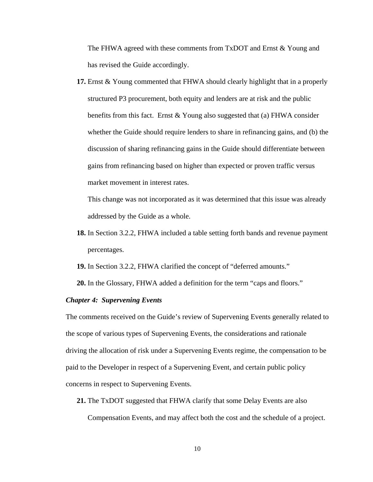The FHWA agreed with these comments from TxDOT and Ernst & Young and has revised the Guide accordingly.

**17.** Ernst & Young commented that FHWA should clearly highlight that in a properly structured P3 procurement, both equity and lenders are at risk and the public benefits from this fact. Ernst  $&$  Young also suggested that (a) FHWA consider whether the Guide should require lenders to share in refinancing gains, and (b) the discussion of sharing refinancing gains in the Guide should differentiate between gains from refinancing based on higher than expected or proven traffic versus market movement in interest rates.

This change was not incorporated as it was determined that this issue was already addressed by the Guide as a whole.

**18.** In Section 3.2.2, FHWA included a table setting forth bands and revenue payment percentages.

**19.** In Section 3.2.2, FHWA clarified the concept of "deferred amounts."

**20.** In the Glossary, FHWA added a definition for the term "caps and floors."

## *Chapter 4: Supervening Events*

The comments received on the Guide's review of Supervening Events generally related to the scope of various types of Supervening Events, the considerations and rationale driving the allocation of risk under a Supervening Events regime, the compensation to be paid to the Developer in respect of a Supervening Event, and certain public policy concerns in respect to Supervening Events.

**21.** The TxDOT suggested that FHWA clarify that some Delay Events are also

Compensation Events, and may affect both the cost and the schedule of a project.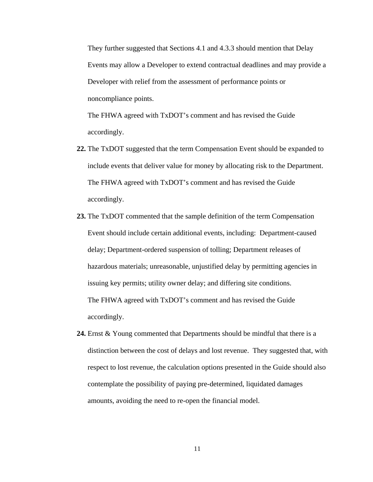They further suggested that Sections 4.1 and 4.3.3 should mention that Delay Events may allow a Developer to extend contractual deadlines and may provide a Developer with relief from the assessment of performance points or noncompliance points.

The FHWA agreed with TxDOT's comment and has revised the Guide accordingly.

- **22.** The TxDOT suggested that the term Compensation Event should be expanded to include events that deliver value for money by allocating risk to the Department. The FHWA agreed with TxDOT's comment and has revised the Guide accordingly.
- **23.** The TxDOT commented that the sample definition of the term Compensation Event should include certain additional events, including: Department-caused delay; Department-ordered suspension of tolling; Department releases of hazardous materials; unreasonable, unjustified delay by permitting agencies in issuing key permits; utility owner delay; and differing site conditions. The FHWA agreed with TxDOT's comment and has revised the Guide accordingly.
- **24.** Ernst & Young commented that Departments should be mindful that there is a distinction between the cost of delays and lost revenue. They suggested that, with respect to lost revenue, the calculation options presented in the Guide should also contemplate the possibility of paying pre-determined, liquidated damages amounts, avoiding the need to re-open the financial model.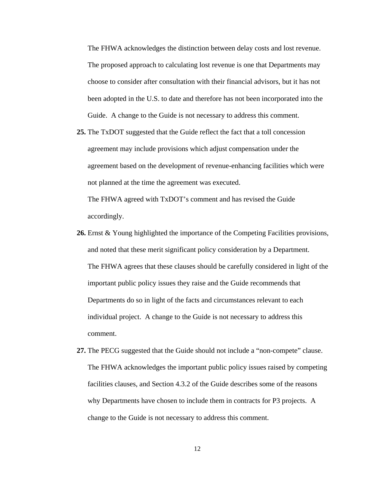The FHWA acknowledges the distinction between delay costs and lost revenue. The proposed approach to calculating lost revenue is one that Departments may choose to consider after consultation with their financial advisors, but it has not been adopted in the U.S. to date and therefore has not been incorporated into the Guide. A change to the Guide is not necessary to address this comment.

**25.** The TxDOT suggested that the Guide reflect the fact that a toll concession agreement may include provisions which adjust compensation under the agreement based on the development of revenue-enhancing facilities which were not planned at the time the agreement was executed.

The FHWA agreed with TxDOT's comment and has revised the Guide accordingly.

- **26.** Ernst & Young highlighted the importance of the Competing Facilities provisions, and noted that these merit significant policy consideration by a Department. The FHWA agrees that these clauses should be carefully considered in light of the important public policy issues they raise and the Guide recommends that Departments do so in light of the facts and circumstances relevant to each individual project. A change to the Guide is not necessary to address this comment.
- **27.** The PECG suggested that the Guide should not include a "non-compete" clause. The FHWA acknowledges the important public policy issues raised by competing facilities clauses, and Section 4.3.2 of the Guide describes some of the reasons why Departments have chosen to include them in contracts for P3 projects. A change to the Guide is not necessary to address this comment.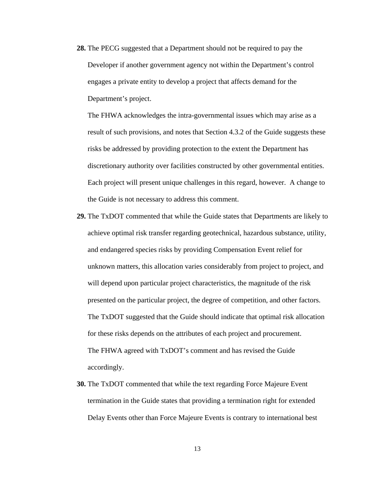**28.** The PECG suggested that a Department should not be required to pay the Developer if another government agency not within the Department's control engages a private entity to develop a project that affects demand for the Department's project.

The FHWA acknowledges the intra-governmental issues which may arise as a result of such provisions, and notes that Section 4.3.2 of the Guide suggests these risks be addressed by providing protection to the extent the Department has discretionary authority over facilities constructed by other governmental entities. Each project will present unique challenges in this regard, however. A change to the Guide is not necessary to address this comment.

- **29.** The TxDOT commented that while the Guide states that Departments are likely to achieve optimal risk transfer regarding geotechnical, hazardous substance, utility, and endangered species risks by providing Compensation Event relief for unknown matters, this allocation varies considerably from project to project, and will depend upon particular project characteristics, the magnitude of the risk presented on the particular project, the degree of competition, and other factors. The TxDOT suggested that the Guide should indicate that optimal risk allocation for these risks depends on the attributes of each project and procurement. The FHWA agreed with TxDOT's comment and has revised the Guide accordingly.
- **30.** The TxDOT commented that while the text regarding Force Majeure Event termination in the Guide states that providing a termination right for extended Delay Events other than Force Majeure Events is contrary to international best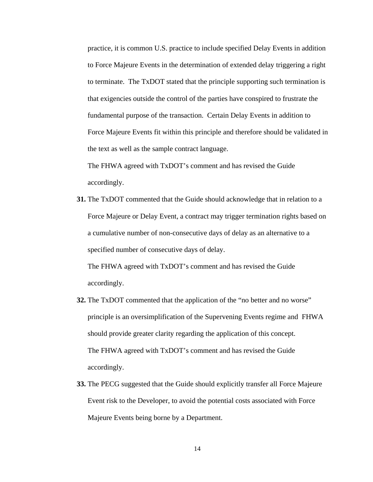practice, it is common U.S. practice to include specified Delay Events in addition to Force Majeure Events in the determination of extended delay triggering a right to terminate. The TxDOT stated that the principle supporting such termination is that exigencies outside the control of the parties have conspired to frustrate the fundamental purpose of the transaction. Certain Delay Events in addition to Force Majeure Events fit within this principle and therefore should be validated in the text as well as the sample contract language.

The FHWA agreed with TxDOT's comment and has revised the Guide accordingly.

**31.** The TxDOT commented that the Guide should acknowledge that in relation to a Force Majeure or Delay Event, a contract may trigger termination rights based on a cumulative number of non-consecutive days of delay as an alternative to a specified number of consecutive days of delay.

The FHWA agreed with TxDOT's comment and has revised the Guide accordingly.

- **32.** The TxDOT commented that the application of the "no better and no worse" principle is an oversimplification of the Supervening Events regime and FHWA should provide greater clarity regarding the application of this concept. The FHWA agreed with TxDOT's comment and has revised the Guide accordingly.
- **33.** The PECG suggested that the Guide should explicitly transfer all Force Majeure Event risk to the Developer, to avoid the potential costs associated with Force Majeure Events being borne by a Department.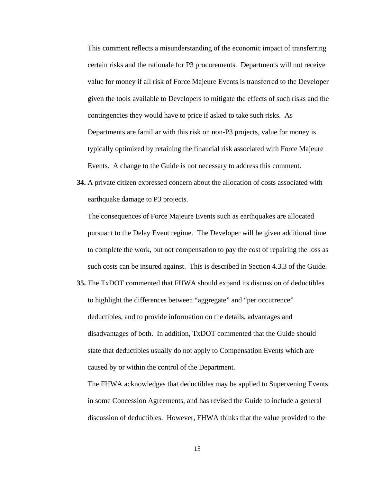This comment reflects a misunderstanding of the economic impact of transferring certain risks and the rationale for P3 procurements. Departments will not receive value for money if all risk of Force Majeure Events is transferred to the Developer given the tools available to Developers to mitigate the effects of such risks and the contingencies they would have to price if asked to take such risks. As Departments are familiar with this risk on non-P3 projects, value for money is typically optimized by retaining the financial risk associated with Force Majeure Events. A change to the Guide is not necessary to address this comment.

**34.** A private citizen expressed concern about the allocation of costs associated with earthquake damage to P3 projects.

The consequences of Force Majeure Events such as earthquakes are allocated pursuant to the Delay Event regime. The Developer will be given additional time to complete the work, but not compensation to pay the cost of repairing the loss as such costs can be insured against. This is described in Section 4.3.3 of the Guide.

**35.** The TxDOT commented that FHWA should expand its discussion of deductibles to highlight the differences between "aggregate" and "per occurrence" deductibles, and to provide information on the details, advantages and disadvantages of both. In addition, TxDOT commented that the Guide should state that deductibles usually do not apply to Compensation Events which are caused by or within the control of the Department.

The FHWA acknowledges that deductibles may be applied to Supervening Events in some Concession Agreements, and has revised the Guide to include a general discussion of deductibles. However, FHWA thinks that the value provided to the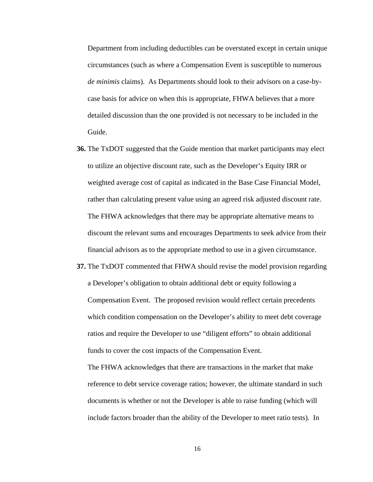Department from including deductibles can be overstated except in certain unique circumstances (such as where a Compensation Event is susceptible to numerous *de minimis* claims). As Departments should look to their advisors on a case-bycase basis for advice on when this is appropriate, FHWA believes that a more detailed discussion than the one provided is not necessary to be included in the Guide.

- **36.** The TxDOT suggested that the Guide mention that market participants may elect to utilize an objective discount rate, such as the Developer's Equity IRR or weighted average cost of capital as indicated in the Base Case Financial Model, rather than calculating present value using an agreed risk adjusted discount rate. The FHWA acknowledges that there may be appropriate alternative means to discount the relevant sums and encourages Departments to seek advice from their financial advisors as to the appropriate method to use in a given circumstance.
- **37.** The TxDOT commented that FHWA should revise the model provision regarding a Developer's obligation to obtain additional debt or equity following a Compensation Event. The proposed revision would reflect certain precedents which condition compensation on the Developer's ability to meet debt coverage ratios and require the Developer to use "diligent efforts" to obtain additional funds to cover the cost impacts of the Compensation Event.

The FHWA acknowledges that there are transactions in the market that make reference to debt service coverage ratios; however, the ultimate standard in such documents is whether or not the Developer is able to raise funding (which will include factors broader than the ability of the Developer to meet ratio tests). In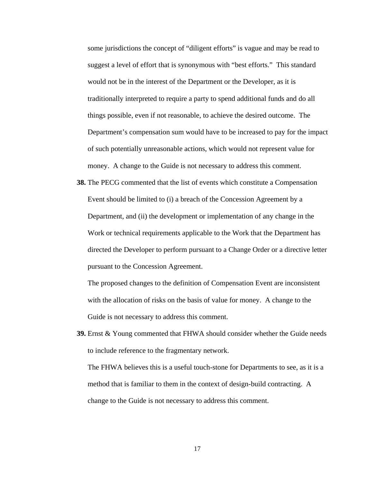some jurisdictions the concept of "diligent efforts" is vague and may be read to suggest a level of effort that is synonymous with "best efforts." This standard would not be in the interest of the Department or the Developer, as it is traditionally interpreted to require a party to spend additional funds and do all things possible, even if not reasonable, to achieve the desired outcome. The Department's compensation sum would have to be increased to pay for the impact of such potentially unreasonable actions, which would not represent value for money. A change to the Guide is not necessary to address this comment.

**38.** The PECG commented that the list of events which constitute a Compensation Event should be limited to (i) a breach of the Concession Agreement by a Department, and (ii) the development or implementation of any change in the Work or technical requirements applicable to the Work that the Department has directed the Developer to perform pursuant to a Change Order or a directive letter pursuant to the Concession Agreement.

The proposed changes to the definition of Compensation Event are inconsistent with the allocation of risks on the basis of value for money. A change to the Guide is not necessary to address this comment.

**39.** Ernst & Young commented that FHWA should consider whether the Guide needs to include reference to the fragmentary network.

The FHWA believes this is a useful touch-stone for Departments to see, as it is a method that is familiar to them in the context of design-build contracting. A change to the Guide is not necessary to address this comment.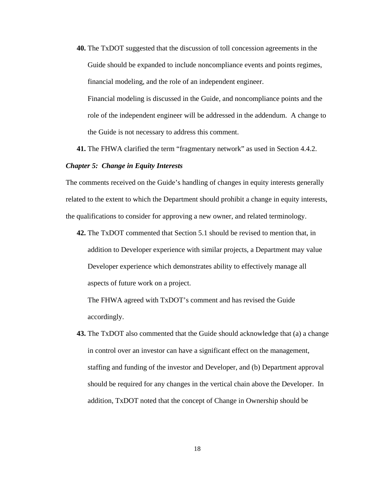**40.** The TxDOT suggested that the discussion of toll concession agreements in the Guide should be expanded to include noncompliance events and points regimes, financial modeling, and the role of an independent engineer. Financial modeling is discussed in the Guide, and noncompliance points and the role of the independent engineer will be addressed in the addendum. A change to

the Guide is not necessary to address this comment.

**41.** The FHWA clarified the term "fragmentary network" as used in Section 4.4.2.

#### *Chapter 5: Change in Equity Interests*

The comments received on the Guide's handling of changes in equity interests generally related to the extent to which the Department should prohibit a change in equity interests, the qualifications to consider for approving a new owner, and related terminology.

**42.** The TxDOT commented that Section 5.1 should be revised to mention that, in addition to Developer experience with similar projects, a Department may value Developer experience which demonstrates ability to effectively manage all aspects of future work on a project.

The FHWA agreed with TxDOT's comment and has revised the Guide accordingly.

**43.** The TxDOT also commented that the Guide should acknowledge that (a) a change in control over an investor can have a significant effect on the management, staffing and funding of the investor and Developer, and (b) Department approval should be required for any changes in the vertical chain above the Developer. In addition, TxDOT noted that the concept of Change in Ownership should be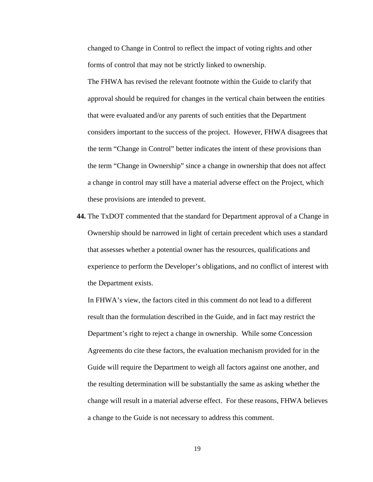changed to Change in Control to reflect the impact of voting rights and other forms of control that may not be strictly linked to ownership.

The FHWA has revised the relevant footnote within the Guide to clarify that approval should be required for changes in the vertical chain between the entities that were evaluated and/or any parents of such entities that the Department considers important to the success of the project. However, FHWA disagrees that the term "Change in Control" better indicates the intent of these provisions than the term "Change in Ownership" since a change in ownership that does not affect a change in control may still have a material adverse effect on the Project, which these provisions are intended to prevent.

**44.** The TxDOT commented that the standard for Department approval of a Change in Ownership should be narrowed in light of certain precedent which uses a standard that assesses whether a potential owner has the resources, qualifications and experience to perform the Developer's obligations, and no conflict of interest with the Department exists.

In FHWA's view, the factors cited in this comment do not lead to a different result than the formulation described in the Guide, and in fact may restrict the Department's right to reject a change in ownership. While some Concession Agreements do cite these factors, the evaluation mechanism provided for in the Guide will require the Department to weigh all factors against one another, and the resulting determination will be substantially the same as asking whether the change will result in a material adverse effect. For these reasons, FHWA believes a change to the Guide is not necessary to address this comment.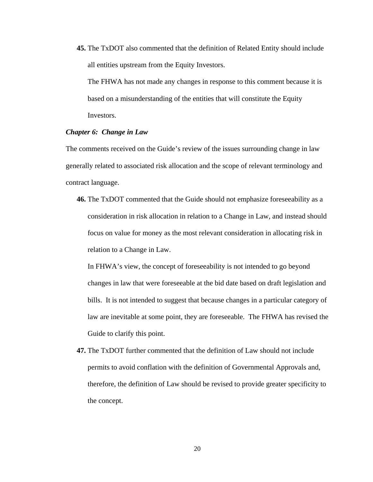**45.** The TxDOT also commented that the definition of Related Entity should include all entities upstream from the Equity Investors.

The FHWA has not made any changes in response to this comment because it is based on a misunderstanding of the entities that will constitute the Equity Investors.

## *Chapter 6: Change in Law*

The comments received on the Guide's review of the issues surrounding change in law generally related to associated risk allocation and the scope of relevant terminology and contract language.

**46.** The TxDOT commented that the Guide should not emphasize foreseeability as a consideration in risk allocation in relation to a Change in Law, and instead should focus on value for money as the most relevant consideration in allocating risk in relation to a Change in Law.

In FHWA's view, the concept of foreseeability is not intended to go beyond changes in law that were foreseeable at the bid date based on draft legislation and bills. It is not intended to suggest that because changes in a particular category of law are inevitable at some point, they are foreseeable. The FHWA has revised the Guide to clarify this point.

**47.** The TxDOT further commented that the definition of Law should not include permits to avoid conflation with the definition of Governmental Approvals and, therefore, the definition of Law should be revised to provide greater specificity to the concept.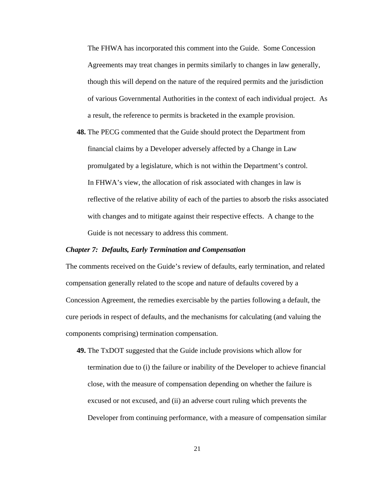The FHWA has incorporated this comment into the Guide. Some Concession Agreements may treat changes in permits similarly to changes in law generally, though this will depend on the nature of the required permits and the jurisdiction of various Governmental Authorities in the context of each individual project. As a result, the reference to permits is bracketed in the example provision.

**48.** The PECG commented that the Guide should protect the Department from financial claims by a Developer adversely affected by a Change in Law promulgated by a legislature, which is not within the Department's control. In FHWA's view, the allocation of risk associated with changes in law is reflective of the relative ability of each of the parties to absorb the risks associated with changes and to mitigate against their respective effects. A change to the Guide is not necessary to address this comment.

#### *Chapter 7: Defaults, Early Termination and Compensation*

The comments received on the Guide's review of defaults, early termination, and related compensation generally related to the scope and nature of defaults covered by a Concession Agreement, the remedies exercisable by the parties following a default, the cure periods in respect of defaults, and the mechanisms for calculating (and valuing the components comprising) termination compensation.

**49.** The TxDOT suggested that the Guide include provisions which allow for termination due to (i) the failure or inability of the Developer to achieve financial close, with the measure of compensation depending on whether the failure is excused or not excused, and (ii) an adverse court ruling which prevents the Developer from continuing performance, with a measure of compensation similar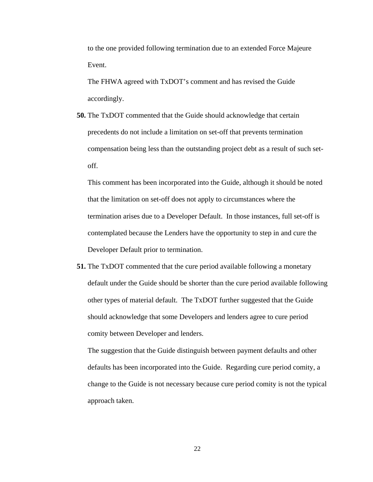to the one provided following termination due to an extended Force Majeure Event.

The FHWA agreed with TxDOT's comment and has revised the Guide accordingly.

**50.** The TxDOT commented that the Guide should acknowledge that certain precedents do not include a limitation on set-off that prevents termination compensation being less than the outstanding project debt as a result of such setoff.

This comment has been incorporated into the Guide, although it should be noted that the limitation on set-off does not apply to circumstances where the termination arises due to a Developer Default. In those instances, full set-off is contemplated because the Lenders have the opportunity to step in and cure the Developer Default prior to termination.

**51.** The TxDOT commented that the cure period available following a monetary default under the Guide should be shorter than the cure period available following other types of material default. The TxDOT further suggested that the Guide should acknowledge that some Developers and lenders agree to cure period comity between Developer and lenders.

The suggestion that the Guide distinguish between payment defaults and other defaults has been incorporated into the Guide. Regarding cure period comity, a change to the Guide is not necessary because cure period comity is not the typical approach taken.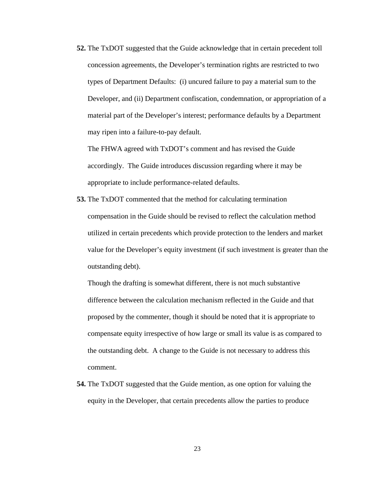**52.** The TxDOT suggested that the Guide acknowledge that in certain precedent toll concession agreements, the Developer's termination rights are restricted to two types of Department Defaults: (i) uncured failure to pay a material sum to the Developer, and (ii) Department confiscation, condemnation, or appropriation of a material part of the Developer's interest; performance defaults by a Department may ripen into a failure-to-pay default.

The FHWA agreed with TxDOT's comment and has revised the Guide accordingly. The Guide introduces discussion regarding where it may be appropriate to include performance-related defaults.

**53.** The TxDOT commented that the method for calculating termination compensation in the Guide should be revised to reflect the calculation method utilized in certain precedents which provide protection to the lenders and market value for the Developer's equity investment (if such investment is greater than the outstanding debt).

Though the drafting is somewhat different, there is not much substantive difference between the calculation mechanism reflected in the Guide and that proposed by the commenter, though it should be noted that it is appropriate to compensate equity irrespective of how large or small its value is as compared to the outstanding debt. A change to the Guide is not necessary to address this comment.

**54.** The TxDOT suggested that the Guide mention, as one option for valuing the equity in the Developer, that certain precedents allow the parties to produce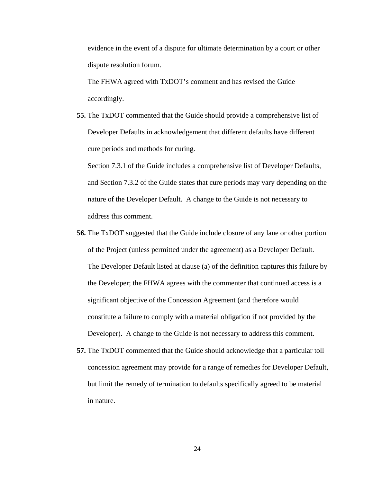evidence in the event of a dispute for ultimate determination by a court or other dispute resolution forum.

The FHWA agreed with TxDOT's comment and has revised the Guide accordingly.

**55.** The TxDOT commented that the Guide should provide a comprehensive list of Developer Defaults in acknowledgement that different defaults have different cure periods and methods for curing.

Section 7.3.1 of the Guide includes a comprehensive list of Developer Defaults, and Section 7.3.2 of the Guide states that cure periods may vary depending on the nature of the Developer Default. A change to the Guide is not necessary to address this comment.

- **56.** The TxDOT suggested that the Guide include closure of any lane or other portion of the Project (unless permitted under the agreement) as a Developer Default. The Developer Default listed at clause (a) of the definition captures this failure by the Developer; the FHWA agrees with the commenter that continued access is a significant objective of the Concession Agreement (and therefore would constitute a failure to comply with a material obligation if not provided by the Developer). A change to the Guide is not necessary to address this comment.
- **57.** The TxDOT commented that the Guide should acknowledge that a particular toll concession agreement may provide for a range of remedies for Developer Default, but limit the remedy of termination to defaults specifically agreed to be material in nature.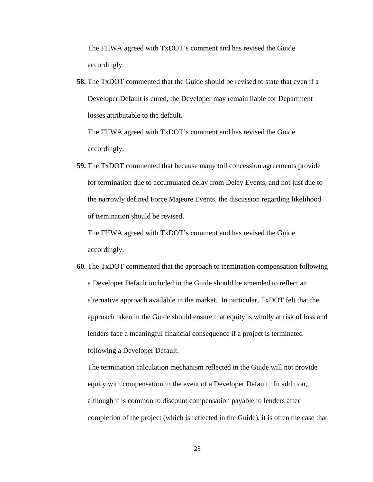The FHWA agreed with TxDOT's comment and has revised the Guide accordingly.

**58.** The TxDOT commented that the Guide should be revised to state that even if a Developer Default is cured, the Developer may remain liable for Department losses attributable to the default.

The FHWA agreed with TxDOT's comment and has revised the Guide accordingly.

**59.** The TxDOT commented that because many toll concession agreements provide for termination due to accumulated delay from Delay Events, and not just due to the narrowly defined Force Majeure Events, the discussion regarding likelihood of termination should be revised.

The FHWA agreed with TxDOT's comment and has revised the Guide accordingly.

**60.** The TxDOT commented that the approach to termination compensation following a Developer Default included in the Guide should be amended to reflect an alternative approach available in the market. In particular, TxDOT felt that the approach taken in the Guide should ensure that equity is wholly at risk of loss and lenders face a meaningful financial consequence if a project is terminated following a Developer Default.

The termination calculation mechanism reflected in the Guide will not provide equity with compensation in the event of a Developer Default. In addition, although it is common to discount compensation payable to lenders after completion of the project (which is reflected in the Guide), it is often the case that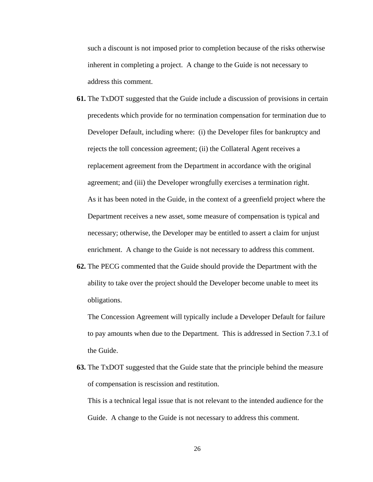such a discount is not imposed prior to completion because of the risks otherwise inherent in completing a project. A change to the Guide is not necessary to address this comment.

- **61.** The TxDOT suggested that the Guide include a discussion of provisions in certain precedents which provide for no termination compensation for termination due to Developer Default, including where: (i) the Developer files for bankruptcy and rejects the toll concession agreement; (ii) the Collateral Agent receives a replacement agreement from the Department in accordance with the original agreement; and (iii) the Developer wrongfully exercises a termination right. As it has been noted in the Guide, in the context of a greenfield project where the Department receives a new asset, some measure of compensation is typical and necessary; otherwise, the Developer may be entitled to assert a claim for unjust enrichment. A change to the Guide is not necessary to address this comment.
- **62.** The PECG commented that the Guide should provide the Department with the ability to take over the project should the Developer become unable to meet its obligations.

The Concession Agreement will typically include a Developer Default for failure to pay amounts when due to the Department. This is addressed in Section 7.3.1 of the Guide.

**63.** The TxDOT suggested that the Guide state that the principle behind the measure of compensation is rescission and restitution.

This is a technical legal issue that is not relevant to the intended audience for the Guide. A change to the Guide is not necessary to address this comment.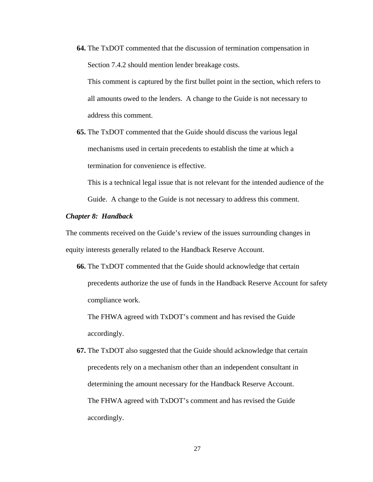**64.** The TxDOT commented that the discussion of termination compensation in Section 7.4.2 should mention lender breakage costs.

This comment is captured by the first bullet point in the section, which refers to all amounts owed to the lenders. A change to the Guide is not necessary to address this comment.

**65.** The TxDOT commented that the Guide should discuss the various legal mechanisms used in certain precedents to establish the time at which a termination for convenience is effective.

This is a technical legal issue that is not relevant for the intended audience of the

Guide. A change to the Guide is not necessary to address this comment.

## *Chapter 8: Handback*

The comments received on the Guide's review of the issues surrounding changes in equity interests generally related to the Handback Reserve Account.

**66.** The TxDOT commented that the Guide should acknowledge that certain precedents authorize the use of funds in the Handback Reserve Account for safety compliance work.

The FHWA agreed with TxDOT's comment and has revised the Guide accordingly.

**67.** The TxDOT also suggested that the Guide should acknowledge that certain precedents rely on a mechanism other than an independent consultant in determining the amount necessary for the Handback Reserve Account. The FHWA agreed with TxDOT's comment and has revised the Guide accordingly.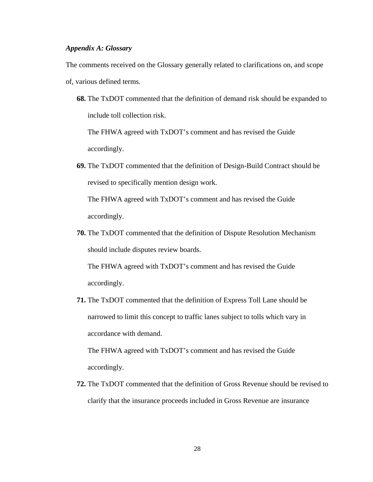# *Appendix A: Glossary*

The comments received on the Glossary generally related to clarifications on, and scope

- of, various defined terms.
	- **68.** The TxDOT commented that the definition of demand risk should be expanded to include toll collection risk.

The FHWA agreed with TxDOT's comment and has revised the Guide accordingly.

**69.** The TxDOT commented that the definition of Design-Build Contract should be revised to specifically mention design work.

The FHWA agreed with TxDOT's comment and has revised the Guide accordingly.

**70.** The TxDOT commented that the definition of Dispute Resolution Mechanism should include disputes review boards.

The FHWA agreed with TxDOT's comment and has revised the Guide accordingly.

**71.** The TxDOT commented that the definition of Express Toll Lane should be narrowed to limit this concept to traffic lanes subject to tolls which vary in accordance with demand.

The FHWA agreed with TxDOT's comment and has revised the Guide accordingly.

**72.** The TxDOT commented that the definition of Gross Revenue should be revised to clarify that the insurance proceeds included in Gross Revenue are insurance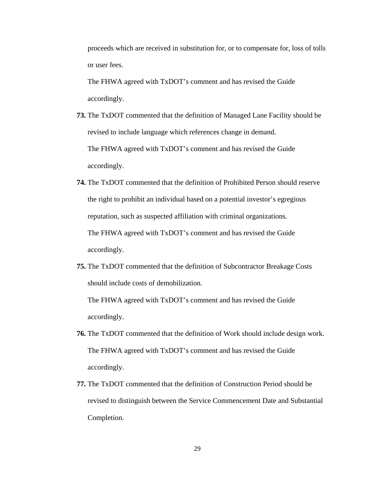proceeds which are received in substitution for, or to compensate for, loss of tolls or user fees.

The FHWA agreed with TxDOT's comment and has revised the Guide accordingly.

- **73.** The TxDOT commented that the definition of Managed Lane Facility should be revised to include language which references change in demand. The FHWA agreed with TxDOT's comment and has revised the Guide accordingly.
- **74.** The TxDOT commented that the definition of Prohibited Person should reserve the right to prohibit an individual based on a potential investor's egregious reputation, such as suspected affiliation with criminal organizations. The FHWA agreed with TxDOT's comment and has revised the Guide accordingly.
- **75.** The TxDOT commented that the definition of Subcontractor Breakage Costs should include costs of demobilization.

The FHWA agreed with TxDOT's comment and has revised the Guide accordingly.

- **76.** The TxDOT commented that the definition of Work should include design work. The FHWA agreed with TxDOT's comment and has revised the Guide accordingly.
- **77.** The TxDOT commented that the definition of Construction Period should be revised to distinguish between the Service Commencement Date and Substantial Completion.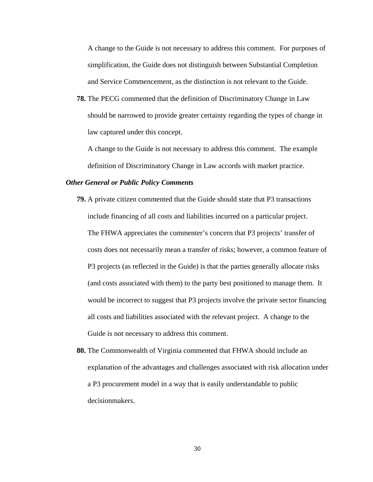A change to the Guide is not necessary to address this comment. For purposes of simplification, the Guide does not distinguish between Substantial Completion and Service Commencement, as the distinction is not relevant to the Guide.

**78.** The PECG commented that the definition of Discriminatory Change in Law should be narrowed to provide greater certainty regarding the types of change in law captured under this concept.

A change to the Guide is not necessary to address this comment. The example definition of Discriminatory Change in Law accords with market practice.

## *Other General or Public Policy Comments*

- **79.** A private citizen commented that the Guide should state that P3 transactions include financing of all costs and liabilities incurred on a particular project. The FHWA appreciates the commenter's concern that P3 projects' transfer of costs does not necessarily mean a transfer of risks; however, a common feature of P3 projects (as reflected in the Guide) is that the parties generally allocate risks (and costs associated with them) to the party best positioned to manage them. It would be incorrect to suggest that P3 projects involve the private sector financing all costs and liabilities associated with the relevant project. A change to the Guide is not necessary to address this comment.
- **80.** The Commonwealth of Virginia commented that FHWA should include an explanation of the advantages and challenges associated with risk allocation under a P3 procurement model in a way that is easily understandable to public decisionmakers.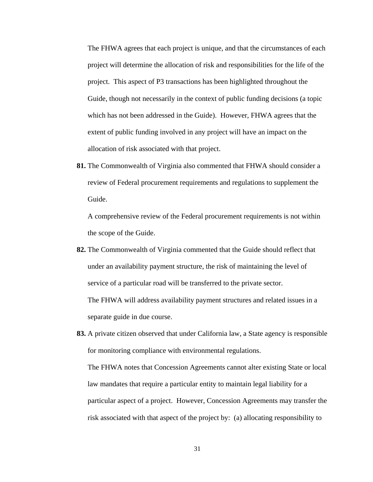The FHWA agrees that each project is unique, and that the circumstances of each project will determine the allocation of risk and responsibilities for the life of the project. This aspect of P3 transactions has been highlighted throughout the Guide, though not necessarily in the context of public funding decisions (a topic which has not been addressed in the Guide). However, FHWA agrees that the extent of public funding involved in any project will have an impact on the allocation of risk associated with that project.

**81.** The Commonwealth of Virginia also commented that FHWA should consider a review of Federal procurement requirements and regulations to supplement the Guide.

A comprehensive review of the Federal procurement requirements is not within the scope of the Guide.

- **82.** The Commonwealth of Virginia commented that the Guide should reflect that under an availability payment structure, the risk of maintaining the level of service of a particular road will be transferred to the private sector. The FHWA will address availability payment structures and related issues in a separate guide in due course.
- **83.** A private citizen observed that under California law, a State agency is responsible for monitoring compliance with environmental regulations. The FHWA notes that Concession Agreements cannot alter existing State or local law mandates that require a particular entity to maintain legal liability for a particular aspect of a project. However, Concession Agreements may transfer the risk associated with that aspect of the project by: (a) allocating responsibility to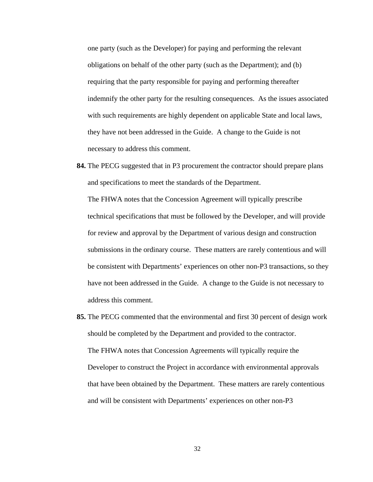one party (such as the Developer) for paying and performing the relevant obligations on behalf of the other party (such as the Department); and (b) requiring that the party responsible for paying and performing thereafter indemnify the other party for the resulting consequences. As the issues associated with such requirements are highly dependent on applicable State and local laws, they have not been addressed in the Guide. A change to the Guide is not necessary to address this comment.

- **84.** The PECG suggested that in P3 procurement the contractor should prepare plans and specifications to meet the standards of the Department. The FHWA notes that the Concession Agreement will typically prescribe technical specifications that must be followed by the Developer, and will provide for review and approval by the Department of various design and construction submissions in the ordinary course. These matters are rarely contentious and will be consistent with Departments' experiences on other non-P3 transactions, so they have not been addressed in the Guide. A change to the Guide is not necessary to address this comment.
- **85.** The PECG commented that the environmental and first 30 percent of design work should be completed by the Department and provided to the contractor. The FHWA notes that Concession Agreements will typically require the Developer to construct the Project in accordance with environmental approvals that have been obtained by the Department. These matters are rarely contentious and will be consistent with Departments' experiences on other non-P3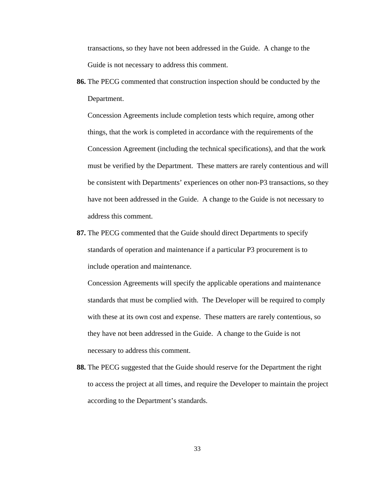transactions, so they have not been addressed in the Guide. A change to the Guide is not necessary to address this comment.

**86.** The PECG commented that construction inspection should be conducted by the Department.

Concession Agreements include completion tests which require, among other things, that the work is completed in accordance with the requirements of the Concession Agreement (including the technical specifications), and that the work must be verified by the Department. These matters are rarely contentious and will be consistent with Departments' experiences on other non-P3 transactions, so they have not been addressed in the Guide. A change to the Guide is not necessary to address this comment.

**87.** The PECG commented that the Guide should direct Departments to specify standards of operation and maintenance if a particular P3 procurement is to include operation and maintenance.

Concession Agreements will specify the applicable operations and maintenance standards that must be complied with. The Developer will be required to comply with these at its own cost and expense. These matters are rarely contentious, so they have not been addressed in the Guide. A change to the Guide is not necessary to address this comment.

**88.** The PECG suggested that the Guide should reserve for the Department the right to access the project at all times, and require the Developer to maintain the project according to the Department's standards.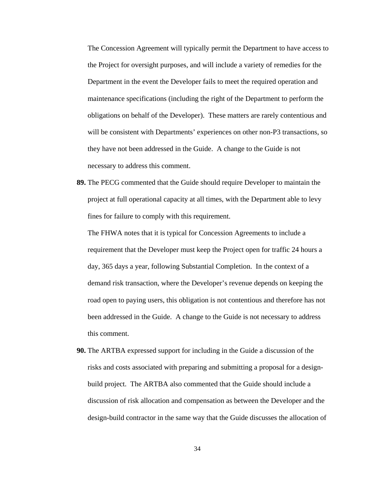The Concession Agreement will typically permit the Department to have access to the Project for oversight purposes, and will include a variety of remedies for the Department in the event the Developer fails to meet the required operation and maintenance specifications (including the right of the Department to perform the obligations on behalf of the Developer). These matters are rarely contentious and will be consistent with Departments' experiences on other non-P3 transactions, so they have not been addressed in the Guide. A change to the Guide is not necessary to address this comment.

**89.** The PECG commented that the Guide should require Developer to maintain the project at full operational capacity at all times, with the Department able to levy fines for failure to comply with this requirement.

The FHWA notes that it is typical for Concession Agreements to include a requirement that the Developer must keep the Project open for traffic 24 hours a day, 365 days a year, following Substantial Completion. In the context of a demand risk transaction, where the Developer's revenue depends on keeping the road open to paying users, this obligation is not contentious and therefore has not been addressed in the Guide. A change to the Guide is not necessary to address this comment.

**90.** The ARTBA expressed support for including in the Guide a discussion of the risks and costs associated with preparing and submitting a proposal for a designbuild project. The ARTBA also commented that the Guide should include a discussion of risk allocation and compensation as between the Developer and the design-build contractor in the same way that the Guide discusses the allocation of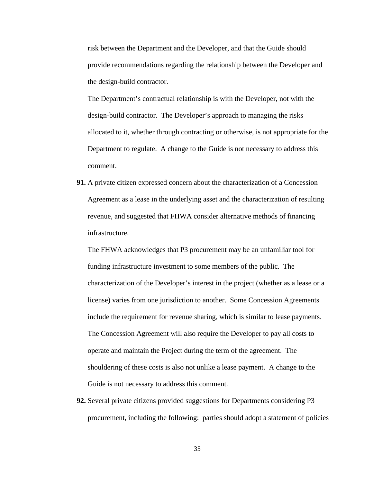risk between the Department and the Developer, and that the Guide should provide recommendations regarding the relationship between the Developer and the design-build contractor.

The Department's contractual relationship is with the Developer, not with the design-build contractor. The Developer's approach to managing the risks allocated to it, whether through contracting or otherwise, is not appropriate for the Department to regulate. A change to the Guide is not necessary to address this comment.

**91.** A private citizen expressed concern about the characterization of a Concession Agreement as a lease in the underlying asset and the characterization of resulting revenue, and suggested that FHWA consider alternative methods of financing infrastructure.

The FHWA acknowledges that P3 procurement may be an unfamiliar tool for funding infrastructure investment to some members of the public. The characterization of the Developer's interest in the project (whether as a lease or a license) varies from one jurisdiction to another. Some Concession Agreements include the requirement for revenue sharing, which is similar to lease payments. The Concession Agreement will also require the Developer to pay all costs to operate and maintain the Project during the term of the agreement. The shouldering of these costs is also not unlike a lease payment. A change to the Guide is not necessary to address this comment.

**92.** Several private citizens provided suggestions for Departments considering P3 procurement, including the following: parties should adopt a statement of policies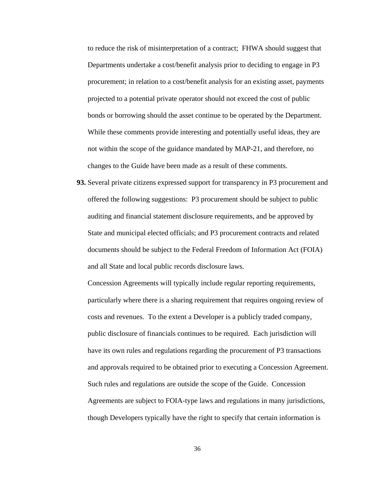to reduce the risk of misinterpretation of a contract; FHWA should suggest that Departments undertake a cost/benefit analysis prior to deciding to engage in P3 procurement; in relation to a cost/benefit analysis for an existing asset, payments projected to a potential private operator should not exceed the cost of public bonds or borrowing should the asset continue to be operated by the Department. While these comments provide interesting and potentially useful ideas, they are not within the scope of the guidance mandated by MAP-21, and therefore, no changes to the Guide have been made as a result of these comments.

**93.** Several private citizens expressed support for transparency in P3 procurement and offered the following suggestions: P3 procurement should be subject to public auditing and financial statement disclosure requirements, and be approved by State and municipal elected officials; and P3 procurement contracts and related documents should be subject to the Federal Freedom of Information Act (FOIA) and all State and local public records disclosure laws.

Concession Agreements will typically include regular reporting requirements, particularly where there is a sharing requirement that requires ongoing review of costs and revenues. To the extent a Developer is a publicly traded company, public disclosure of financials continues to be required. Each jurisdiction will have its own rules and regulations regarding the procurement of P3 transactions and approvals required to be obtained prior to executing a Concession Agreement. Such rules and regulations are outside the scope of the Guide. Concession Agreements are subject to FOIA-type laws and regulations in many jurisdictions, though Developers typically have the right to specify that certain information is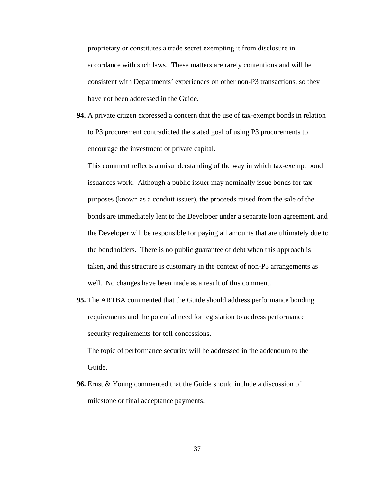proprietary or constitutes a trade secret exempting it from disclosure in accordance with such laws. These matters are rarely contentious and will be consistent with Departments' experiences on other non-P3 transactions, so they have not been addressed in the Guide.

**94.** A private citizen expressed a concern that the use of tax-exempt bonds in relation to P3 procurement contradicted the stated goal of using P3 procurements to encourage the investment of private capital.

This comment reflects a misunderstanding of the way in which tax-exempt bond issuances work. Although a public issuer may nominally issue bonds for tax purposes (known as a conduit issuer), the proceeds raised from the sale of the bonds are immediately lent to the Developer under a separate loan agreement, and the Developer will be responsible for paying all amounts that are ultimately due to the bondholders. There is no public guarantee of debt when this approach is taken, and this structure is customary in the context of non-P3 arrangements as well. No changes have been made as a result of this comment.

**95.** The ARTBA commented that the Guide should address performance bonding requirements and the potential need for legislation to address performance security requirements for toll concessions.

The topic of performance security will be addressed in the addendum to the Guide.

**96.** Ernst & Young commented that the Guide should include a discussion of milestone or final acceptance payments.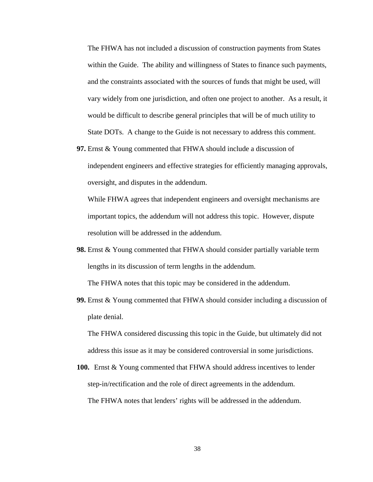The FHWA has not included a discussion of construction payments from States within the Guide. The ability and willingness of States to finance such payments, and the constraints associated with the sources of funds that might be used, will vary widely from one jurisdiction, and often one project to another. As a result, it would be difficult to describe general principles that will be of much utility to State DOTs. A change to the Guide is not necessary to address this comment.

**97.** Ernst & Young commented that FHWA should include a discussion of independent engineers and effective strategies for efficiently managing approvals, oversight, and disputes in the addendum.

While FHWA agrees that independent engineers and oversight mechanisms are important topics, the addendum will not address this topic. However, dispute resolution will be addressed in the addendum.

**98.** Ernst & Young commented that FHWA should consider partially variable term lengths in its discussion of term lengths in the addendum.

The FHWA notes that this topic may be considered in the addendum.

**99.** Ernst & Young commented that FHWA should consider including a discussion of plate denial.

The FHWA considered discussing this topic in the Guide, but ultimately did not address this issue as it may be considered controversial in some jurisdictions.

**100.** Ernst & Young commented that FHWA should address incentives to lender step-in/rectification and the role of direct agreements in the addendum. The FHWA notes that lenders' rights will be addressed in the addendum.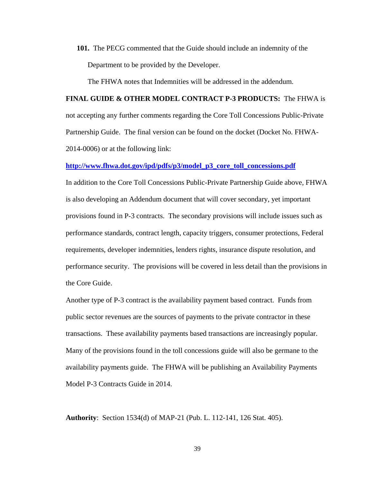**101.** The PECG commented that the Guide should include an indemnity of the Department to be provided by the Developer.

The FHWA notes that Indemnities will be addressed in the addendum.

**FINAL GUIDE & OTHER MODEL CONTRACT P-3 PRODUCTS:** The FHWA is not accepting any further comments regarding the Core Toll Concessions Public-Private Partnership Guide. The final version can be found on the docket (Docket No. FHWA-2014-0006) or at the following link:

**[http://www.fhwa.dot.gov/ipd/pdfs/p3/model\\_p3\\_core\\_toll\\_concessions.pdf](http://www.fhwa.dot.gov/ipd/pdfs/p3/model_p3_core_toll_concessions.pdf)**

In addition to the Core Toll Concessions Public-Private Partnership Guide above, FHWA is also developing an Addendum document that will cover secondary, yet important provisions found in P-3 contracts. The secondary provisions will include issues such as performance standards, contract length, capacity triggers, consumer protections, Federal requirements, developer indemnities, lenders rights, insurance dispute resolution, and performance security. The provisions will be covered in less detail than the provisions in the Core Guide.

Another type of P-3 contract is the availability payment based contract. Funds from public sector revenues are the sources of payments to the private contractor in these transactions. These availability payments based transactions are increasingly popular. Many of the provisions found in the toll concessions guide will also be germane to the availability payments guide. The FHWA will be publishing an Availability Payments Model P-3 Contracts Guide in 2014.

**Authority**: Section 1534(d) of MAP-21 (Pub. L. 112-141, 126 Stat. 405).